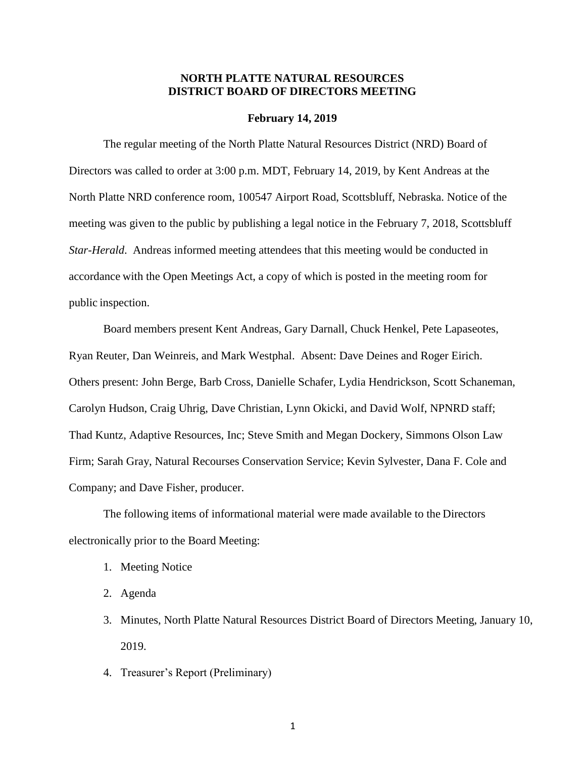# **NORTH PLATTE NATURAL RESOURCES DISTRICT BOARD OF DIRECTORS MEETING**

#### **February 14, 2019**

The regular meeting of the North Platte Natural Resources District (NRD) Board of Directors was called to order at 3:00 p.m. MDT, February 14, 2019, by Kent Andreas at the North Platte NRD conference room, 100547 Airport Road, Scottsbluff, Nebraska. Notice of the meeting was given to the public by publishing a legal notice in the February 7, 2018, Scottsbluff *Star-Herald*. Andreas informed meeting attendees that this meeting would be conducted in accordance with the Open Meetings Act, a copy of which is posted in the meeting room for public inspection.

Board members present Kent Andreas, Gary Darnall, Chuck Henkel, Pete Lapaseotes, Ryan Reuter, Dan Weinreis, and Mark Westphal. Absent: Dave Deines and Roger Eirich. Others present: John Berge, Barb Cross, Danielle Schafer, Lydia Hendrickson, Scott Schaneman, Carolyn Hudson, Craig Uhrig, Dave Christian, Lynn Okicki, and David Wolf, NPNRD staff; Thad Kuntz, Adaptive Resources, Inc; Steve Smith and Megan Dockery, Simmons Olson Law Firm; Sarah Gray, Natural Recourses Conservation Service; Kevin Sylvester, Dana F. Cole and Company; and Dave Fisher, producer.

The following items of informational material were made available to the Directors electronically prior to the Board Meeting:

- 1. Meeting Notice
- 2. Agenda
- 3. Minutes, North Platte Natural Resources District Board of Directors Meeting, January 10, 2019.
- 4. Treasurer's Report (Preliminary)

1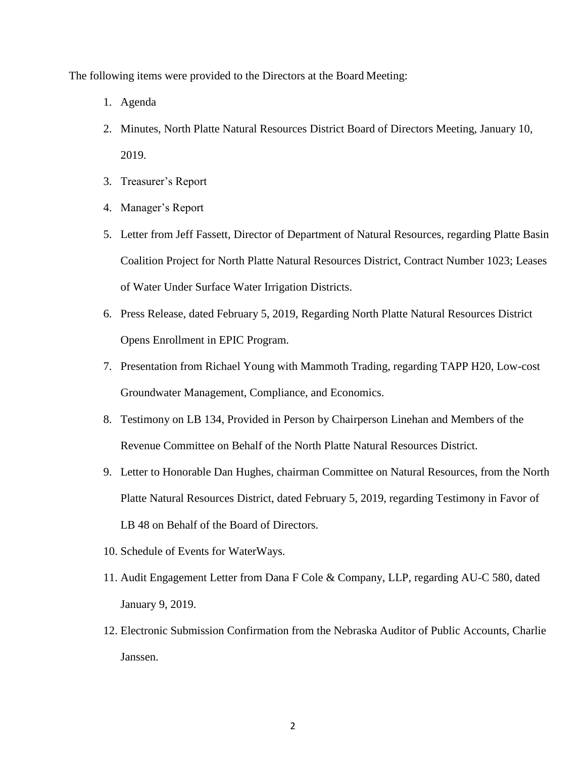The following items were provided to the Directors at the Board Meeting:

- 1. Agenda
- 2. Minutes, North Platte Natural Resources District Board of Directors Meeting, January 10, 2019.
- 3. Treasurer's Report
- 4. Manager's Report
- 5. Letter from Jeff Fassett, Director of Department of Natural Resources, regarding Platte Basin Coalition Project for North Platte Natural Resources District, Contract Number 1023; Leases of Water Under Surface Water Irrigation Districts.
- 6. Press Release, dated February 5, 2019, Regarding North Platte Natural Resources District Opens Enrollment in EPIC Program.
- 7. Presentation from Richael Young with Mammoth Trading, regarding TAPP H20, Low-cost Groundwater Management, Compliance, and Economics.
- 8. Testimony on LB 134, Provided in Person by Chairperson Linehan and Members of the Revenue Committee on Behalf of the North Platte Natural Resources District.
- 9. Letter to Honorable Dan Hughes, chairman Committee on Natural Resources, from the North Platte Natural Resources District, dated February 5, 2019, regarding Testimony in Favor of LB 48 on Behalf of the Board of Directors.
- 10. Schedule of Events for WaterWays.
- 11. Audit Engagement Letter from Dana F Cole & Company, LLP, regarding AU-C 580, dated January 9, 2019.
- 12. Electronic Submission Confirmation from the Nebraska Auditor of Public Accounts, Charlie Janssen.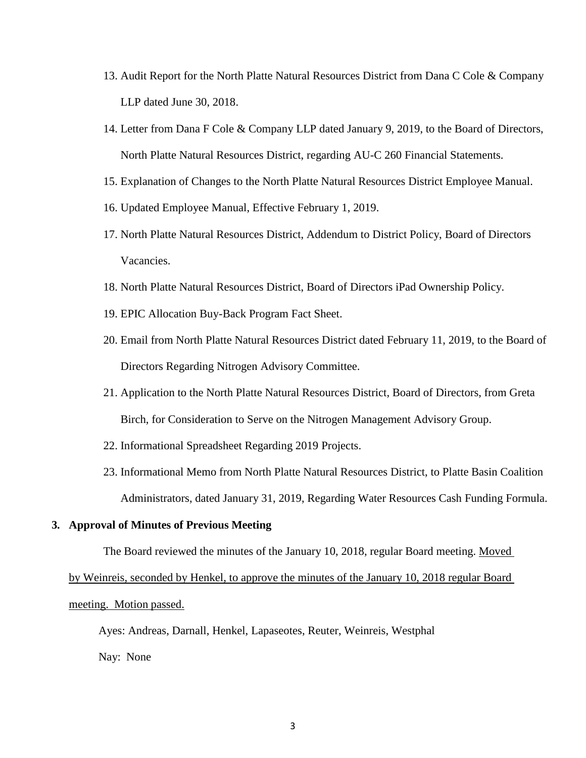- 13. Audit Report for the North Platte Natural Resources District from Dana C Cole & Company LLP dated June 30, 2018.
- 14. Letter from Dana F Cole & Company LLP dated January 9, 2019, to the Board of Directors, North Platte Natural Resources District, regarding AU-C 260 Financial Statements.
- 15. Explanation of Changes to the North Platte Natural Resources District Employee Manual.
- 16. Updated Employee Manual, Effective February 1, 2019.
- 17. North Platte Natural Resources District, Addendum to District Policy, Board of Directors Vacancies.
- 18. North Platte Natural Resources District, Board of Directors iPad Ownership Policy.
- 19. EPIC Allocation Buy-Back Program Fact Sheet.
- 20. Email from North Platte Natural Resources District dated February 11, 2019, to the Board of Directors Regarding Nitrogen Advisory Committee.
- 21. Application to the North Platte Natural Resources District, Board of Directors, from Greta Birch, for Consideration to Serve on the Nitrogen Management Advisory Group.
- 22. Informational Spreadsheet Regarding 2019 Projects.
- 23. Informational Memo from North Platte Natural Resources District, to Platte Basin Coalition Administrators, dated January 31, 2019, Regarding Water Resources Cash Funding Formula.

### **3. Approval of Minutes of Previous Meeting**

The Board reviewed the minutes of the January 10, 2018, regular Board meeting. Moved

by Weinreis, seconded by Henkel, to approve the minutes of the January 10, 2018 regular Board

#### meeting. Motion passed.

Ayes: Andreas, Darnall, Henkel, Lapaseotes, Reuter, Weinreis, Westphal

Nay: None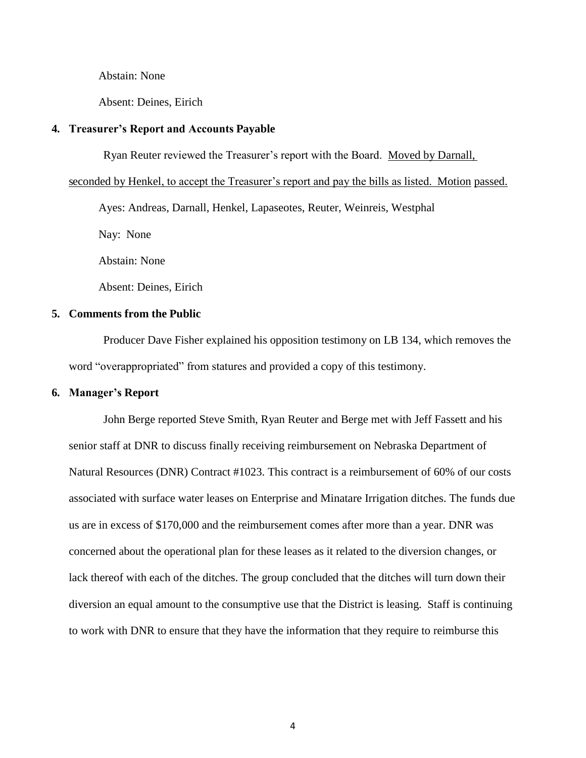Abstain: None

Absent: Deines, Eirich

#### **4. Treasurer's Report and Accounts Payable**

Ryan Reuter reviewed the Treasurer's report with the Board. Moved by Darnall,

# seconded by Henkel, to accept the Treasurer's report and pay the bills as listed. Motion passed.

Ayes: Andreas, Darnall, Henkel, Lapaseotes, Reuter, Weinreis, Westphal

Nay: None

Abstain: None

Absent: Deines, Eirich

## **5. Comments from the Public**

Producer Dave Fisher explained his opposition testimony on LB 134, which removes the word "overappropriated" from statures and provided a copy of this testimony.

## **6. Manager's Report**

John Berge reported Steve Smith, Ryan Reuter and Berge met with Jeff Fassett and his senior staff at DNR to discuss finally receiving reimbursement on Nebraska Department of Natural Resources (DNR) Contract #1023. This contract is a reimbursement of 60% of our costs associated with surface water leases on Enterprise and Minatare Irrigation ditches. The funds due us are in excess of \$170,000 and the reimbursement comes after more than a year. DNR was concerned about the operational plan for these leases as it related to the diversion changes, or lack thereof with each of the ditches. The group concluded that the ditches will turn down their diversion an equal amount to the consumptive use that the District is leasing. Staff is continuing to work with DNR to ensure that they have the information that they require to reimburse this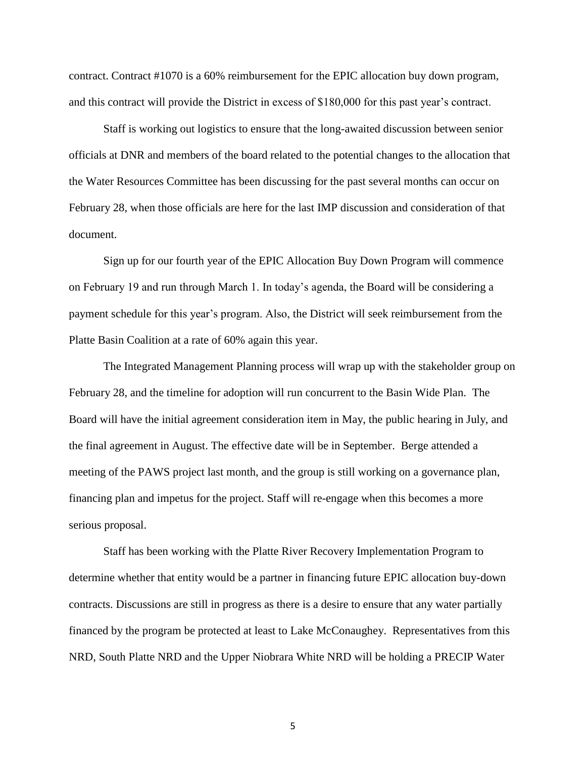contract. Contract #1070 is a 60% reimbursement for the EPIC allocation buy down program, and this contract will provide the District in excess of \$180,000 for this past year's contract.

Staff is working out logistics to ensure that the long-awaited discussion between senior officials at DNR and members of the board related to the potential changes to the allocation that the Water Resources Committee has been discussing for the past several months can occur on February 28, when those officials are here for the last IMP discussion and consideration of that document.

Sign up for our fourth year of the EPIC Allocation Buy Down Program will commence on February 19 and run through March 1. In today's agenda, the Board will be considering a payment schedule for this year's program. Also, the District will seek reimbursement from the Platte Basin Coalition at a rate of 60% again this year.

The Integrated Management Planning process will wrap up with the stakeholder group on February 28, and the timeline for adoption will run concurrent to the Basin Wide Plan. The Board will have the initial agreement consideration item in May, the public hearing in July, and the final agreement in August. The effective date will be in September. Berge attended a meeting of the PAWS project last month, and the group is still working on a governance plan, financing plan and impetus for the project. Staff will re-engage when this becomes a more serious proposal.

Staff has been working with the Platte River Recovery Implementation Program to determine whether that entity would be a partner in financing future EPIC allocation buy-down contracts. Discussions are still in progress as there is a desire to ensure that any water partially financed by the program be protected at least to Lake McConaughey. Representatives from this NRD, South Platte NRD and the Upper Niobrara White NRD will be holding a PRECIP Water

5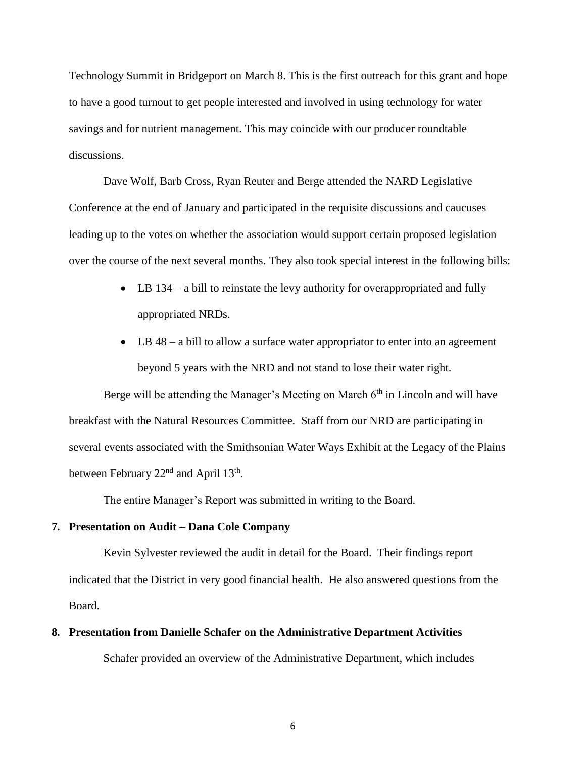Technology Summit in Bridgeport on March 8. This is the first outreach for this grant and hope to have a good turnout to get people interested and involved in using technology for water savings and for nutrient management. This may coincide with our producer roundtable discussions.

Dave Wolf, Barb Cross, Ryan Reuter and Berge attended the NARD Legislative Conference at the end of January and participated in the requisite discussions and caucuses leading up to the votes on whether the association would support certain proposed legislation over the course of the next several months. They also took special interest in the following bills:

- LB 134 a bill to reinstate the levy authority for overappropriated and fully appropriated NRDs.
- LB 48 a bill to allow a surface water appropriator to enter into an agreement beyond 5 years with the NRD and not stand to lose their water right.

Berge will be attending the Manager's Meeting on March  $6<sup>th</sup>$  in Lincoln and will have breakfast with the Natural Resources Committee. Staff from our NRD are participating in several events associated with the Smithsonian Water Ways Exhibit at the Legacy of the Plains between February 22<sup>nd</sup> and April 13<sup>th</sup>.

The entire Manager's Report was submitted in writing to the Board.

# **7. Presentation on Audit – Dana Cole Company**

Kevin Sylvester reviewed the audit in detail for the Board. Their findings report indicated that the District in very good financial health. He also answered questions from the Board.

# **8. Presentation from Danielle Schafer on the Administrative Department Activities**

Schafer provided an overview of the Administrative Department, which includes

6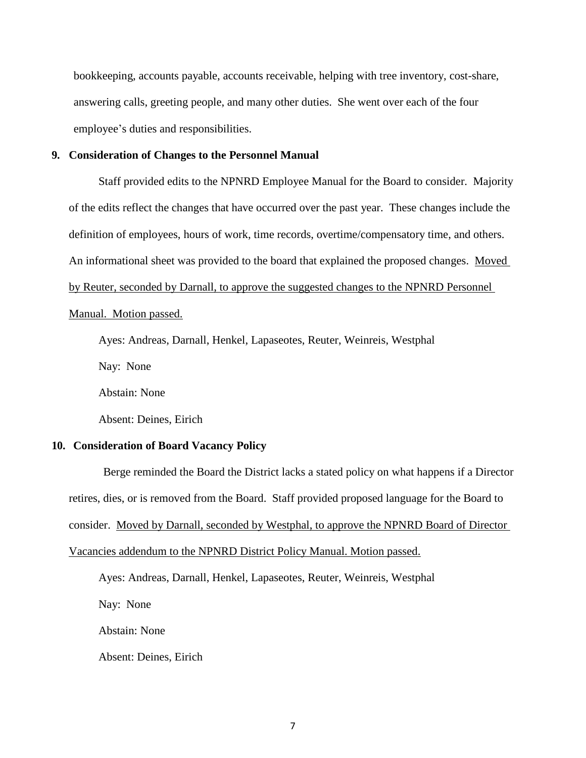bookkeeping, accounts payable, accounts receivable, helping with tree inventory, cost-share, answering calls, greeting people, and many other duties. She went over each of the four employee's duties and responsibilities.

## **9. Consideration of Changes to the Personnel Manual**

Staff provided edits to the NPNRD Employee Manual for the Board to consider. Majority of the edits reflect the changes that have occurred over the past year. These changes include the definition of employees, hours of work, time records, overtime/compensatory time, and others. An informational sheet was provided to the board that explained the proposed changes. Moved by Reuter, seconded by Darnall, to approve the suggested changes to the NPNRD Personnel

# Manual. Motion passed.

Ayes: Andreas, Darnall, Henkel, Lapaseotes, Reuter, Weinreis, Westphal

Nay: None

Abstain: None

Absent: Deines, Eirich

### **10. Consideration of Board Vacancy Policy**

Berge reminded the Board the District lacks a stated policy on what happens if a Director retires, dies, or is removed from the Board. Staff provided proposed language for the Board to consider. Moved by Darnall, seconded by Westphal, to approve the NPNRD Board of Director Vacancies addendum to the NPNRD District Policy Manual. Motion passed.

Ayes: Andreas, Darnall, Henkel, Lapaseotes, Reuter, Weinreis, Westphal Nay: None Abstain: None Absent: Deines, Eirich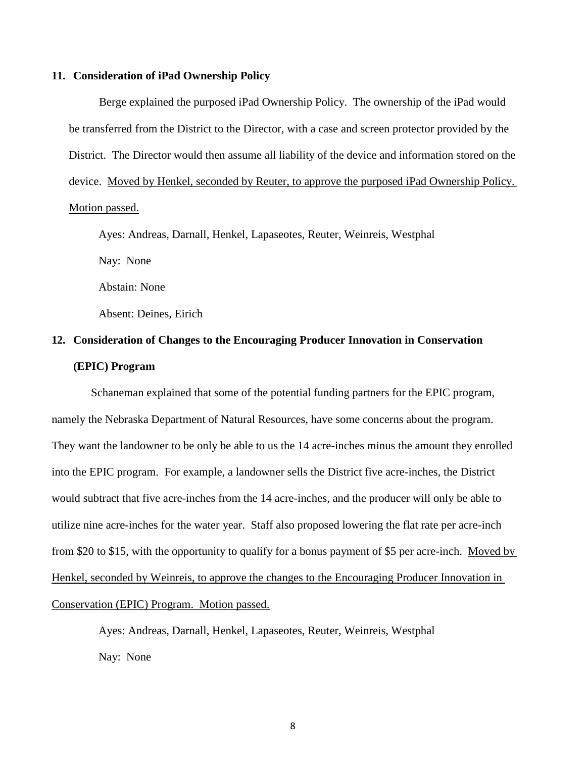## **11. Consideration of iPad Ownership Policy**

Berge explained the purposed iPad Ownership Policy. The ownership of the iPad would be transferred from the District to the Director, with a case and screen protector provided by the District. The Director would then assume all liability of the device and information stored on the device. Moved by Henkel, seconded by Reuter, to approve the purposed iPad Ownership Policy. Motion passed.

Ayes: Andreas, Darnall, Henkel, Lapaseotes, Reuter, Weinreis, Westphal

Nay: None

Abstain: None

Absent: Deines, Eirich

# **12. Consideration of Changes to the Encouraging Producer Innovation in Conservation (EPIC) Program**

Schaneman explained that some of the potential funding partners for the EPIC program, namely the Nebraska Department of Natural Resources, have some concerns about the program. They want the landowner to be only be able to us the 14 acre-inches minus the amount they enrolled into the EPIC program. For example, a landowner sells the District five acre-inches, the District would subtract that five acre-inches from the 14 acre-inches, and the producer will only be able to utilize nine acre-inches for the water year. Staff also proposed lowering the flat rate per acre-inch from \$20 to \$15, with the opportunity to qualify for a bonus payment of \$5 per acre-inch. Moved by Henkel, seconded by Weinreis, to approve the changes to the Encouraging Producer Innovation in Conservation (EPIC) Program. Motion passed.

Ayes: Andreas, Darnall, Henkel, Lapaseotes, Reuter, Weinreis, Westphal Nay: None